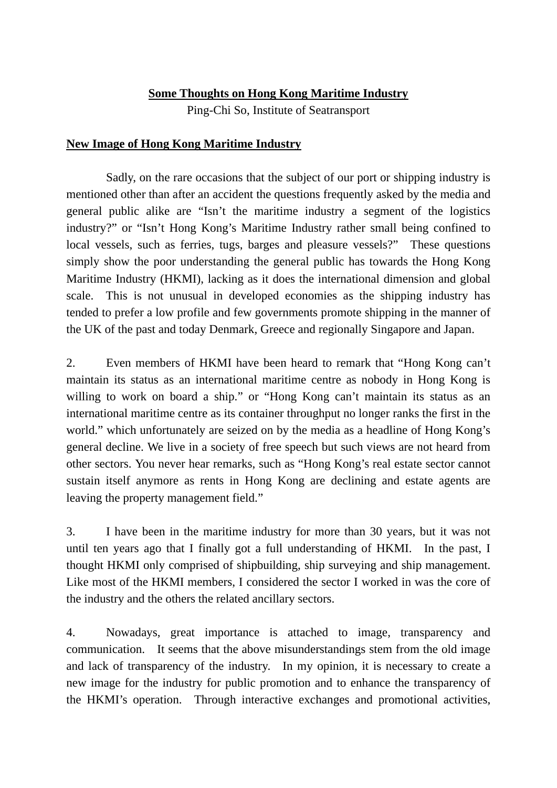## **Some Thoughts on Hong Kong Maritime Industry**

Ping-Chi So, Institute of Seatransport

## **New Image of Hong Kong Maritime Industry**

 Sadly, on the rare occasions that the subject of our port or shipping industry is mentioned other than after an accident the questions frequently asked by the media and general public alike are "Isn't the maritime industry a segment of the logistics industry?" or "Isn't Hong Kong's Maritime Industry rather small being confined to local vessels, such as ferries, tugs, barges and pleasure vessels?" These questions simply show the poor understanding the general public has towards the Hong Kong Maritime Industry (HKMI), lacking as it does the international dimension and global scale. This is not unusual in developed economies as the shipping industry has tended to prefer a low profile and few governments promote shipping in the manner of the UK of the past and today Denmark, Greece and regionally Singapore and Japan.

2. Even members of HKMI have been heard to remark that "Hong Kong can't maintain its status as an international maritime centre as nobody in Hong Kong is willing to work on board a ship." or "Hong Kong can't maintain its status as an international maritime centre as its container throughput no longer ranks the first in the world." which unfortunately are seized on by the media as a headline of Hong Kong's general decline. We live in a society of free speech but such views are not heard from other sectors. You never hear remarks, such as "Hong Kong's real estate sector cannot sustain itself anymore as rents in Hong Kong are declining and estate agents are leaving the property management field."

3. I have been in the maritime industry for more than 30 years, but it was not until ten years ago that I finally got a full understanding of HKMI. In the past, I thought HKMI only comprised of shipbuilding, ship surveying and ship management. Like most of the HKMI members, I considered the sector I worked in was the core of the industry and the others the related ancillary sectors.

4. Nowadays, great importance is attached to image, transparency and communication. It seems that the above misunderstandings stem from the old image and lack of transparency of the industry. In my opinion, it is necessary to create a new image for the industry for public promotion and to enhance the transparency of the HKMI's operation. Through interactive exchanges and promotional activities,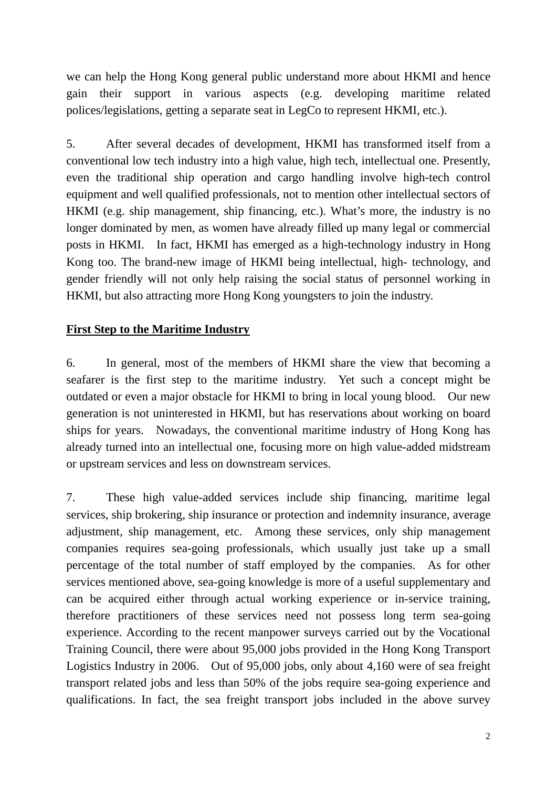we can help the Hong Kong general public understand more about HKMI and hence gain their support in various aspects (e.g. developing maritime related polices/legislations, getting a separate seat in LegCo to represent HKMI, etc.).

5. After several decades of development, HKMI has transformed itself from a conventional low tech industry into a high value, high tech, intellectual one. Presently, even the traditional ship operation and cargo handling involve high-tech control equipment and well qualified professionals, not to mention other intellectual sectors of HKMI (e.g. ship management, ship financing, etc.). What's more, the industry is no longer dominated by men, as women have already filled up many legal or commercial posts in HKMI. In fact, HKMI has emerged as a high-technology industry in Hong Kong too. The brand-new image of HKMI being intellectual, high- technology, and gender friendly will not only help raising the social status of personnel working in HKMI, but also attracting more Hong Kong youngsters to join the industry.

## **First Step to the Maritime Industry**

6. In general, most of the members of HKMI share the view that becoming a seafarer is the first step to the maritime industry. Yet such a concept might be outdated or even a major obstacle for HKMI to bring in local young blood. Our new generation is not uninterested in HKMI, but has reservations about working on board ships for years. Nowadays, the conventional maritime industry of Hong Kong has already turned into an intellectual one, focusing more on high value-added midstream or upstream services and less on downstream services.

7. These high value-added services include ship financing, maritime legal services, ship brokering, ship insurance or protection and indemnity insurance, average adjustment, ship management, etc. Among these services, only ship management companies requires sea-going professionals, which usually just take up a small percentage of the total number of staff employed by the companies. As for other services mentioned above, sea-going knowledge is more of a useful supplementary and can be acquired either through actual working experience or in-service training, therefore practitioners of these services need not possess long term sea-going experience. According to the recent manpower surveys carried out by the Vocational Training Council, there were about 95,000 jobs provided in the Hong Kong Transport Logistics Industry in 2006. Out of 95,000 jobs, only about 4,160 were of sea freight transport related jobs and less than 50% of the jobs require sea-going experience and qualifications. In fact, the sea freight transport jobs included in the above survey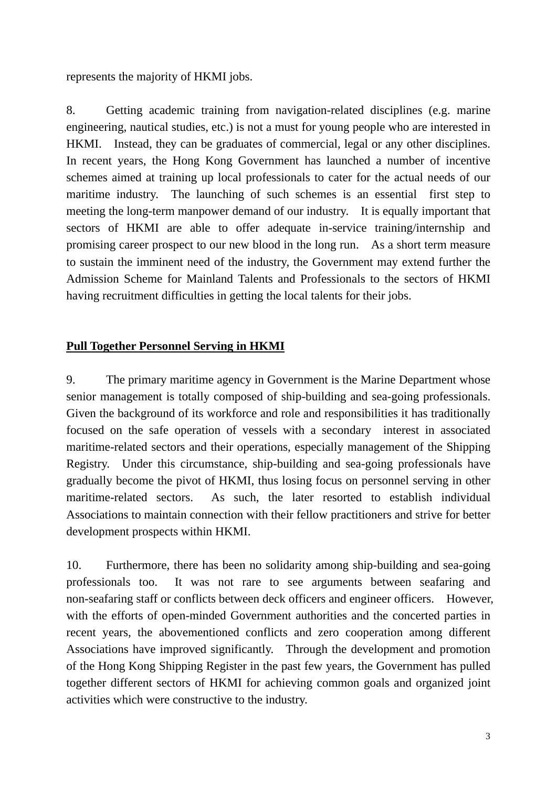represents the majority of HKMI jobs.

8. Getting academic training from navigation-related disciplines (e.g. marine engineering, nautical studies, etc.) is not a must for young people who are interested in HKMI. Instead, they can be graduates of commercial, legal or any other disciplines. In recent years, the Hong Kong Government has launched a number of incentive schemes aimed at training up local professionals to cater for the actual needs of our maritime industry. The launching of such schemes is an essential first step to meeting the long-term manpower demand of our industry. It is equally important that sectors of HKMI are able to offer adequate in-service training/internship and promising career prospect to our new blood in the long run. As a short term measure to sustain the imminent need of the industry, the Government may extend further the Admission Scheme for Mainland Talents and Professionals to the sectors of HKMI having recruitment difficulties in getting the local talents for their jobs.

## **Pull Together Personnel Serving in HKMI**

9. The primary maritime agency in Government is the Marine Department whose senior management is totally composed of ship-building and sea-going professionals. Given the background of its workforce and role and responsibilities it has traditionally focused on the safe operation of vessels with a secondary interest in associated maritime-related sectors and their operations, especially management of the Shipping Registry. Under this circumstance, ship-building and sea-going professionals have gradually become the pivot of HKMI, thus losing focus on personnel serving in other maritime-related sectors. As such, the later resorted to establish individual Associations to maintain connection with their fellow practitioners and strive for better development prospects within HKMI.

10. Furthermore, there has been no solidarity among ship-building and sea-going professionals too. It was not rare to see arguments between seafaring and non-seafaring staff or conflicts between deck officers and engineer officers. However, with the efforts of open-minded Government authorities and the concerted parties in recent years, the abovementioned conflicts and zero cooperation among different Associations have improved significantly. Through the development and promotion of the Hong Kong Shipping Register in the past few years, the Government has pulled together different sectors of HKMI for achieving common goals and organized joint activities which were constructive to the industry.